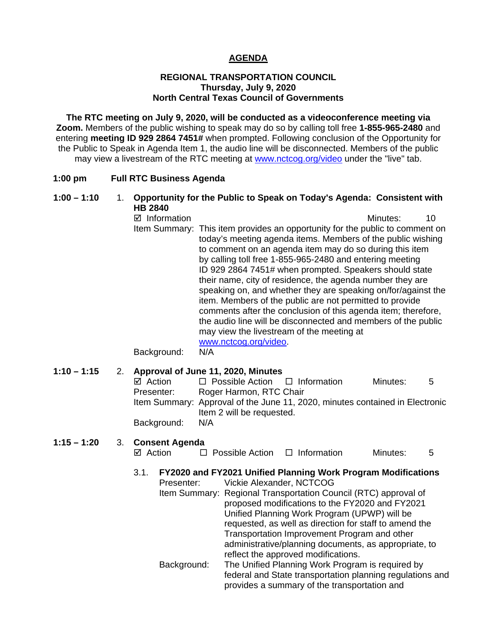# **AGENDA**

#### **REGIONAL TRANSPORTATION COUNCIL Thursday, July 9, 2020 North Central Texas Council of Governments**

**The RTC meeting on July 9, 2020, will be conducted as a videoconference meeting via Zoom.** Members of the public wishing to speak may do so by calling toll free **1-855-965-2480** and entering **meeting ID 929 2864 7451#** when prompted. Following conclusion of the Opportunity for the Public to Speak in Agenda Item 1, the audio line will be disconnected. Members of the public may view a livestream of the RTC meeting at [www.nctcog.org/video](http://www.nctcog.org/video) under the "live" tab.

#### **1:00 pm Full RTC Business Agenda**

#### **1:00 – 1:10** 1. **Opportunity for the Public to Speak on Today's Agenda: Consistent with HB 2840**

 $\boxtimes$  Information and a set of the Minutes: 10 Item Summary: This item provides an opportunity for the public to comment on today's meeting agenda items. Members of the public wishing to comment on an agenda item may do so during this item by calling toll free 1-855-965-2480 and entering meeting ID 929 2864 7451# when prompted. Speakers should state their name, city of residence, the agenda number they are speaking on, and whether they are speaking on/for/against the item. Members of the public are not permitted to provide comments after the conclusion of this agenda item; therefore, the audio line will be disconnected and members of the public may view the livestream of the meeting at [www.nctcog.org/video.](http://www.nctcog.org/video)

Background: N/A

#### **1:10 – 1:15** 2. **Approval of June 11, 2020, Minutes**

| $\Box$ Possible Action $\Box$ Information<br>$\boxtimes$ Action<br>Roger Harmon, RTC Chair<br>Presenter:<br>Item Summary: Approval of the June 11, 2020, minutes contained in Electronic<br>Item 2 will be requested.<br>Background:<br>N/A |               |
|---------------------------------------------------------------------------------------------------------------------------------------------------------------------------------------------------------------------------------------------|---------------|
|                                                                                                                                                                                                                                             | Minutes:<br>5 |
|                                                                                                                                                                                                                                             |               |
|                                                                                                                                                                                                                                             |               |
|                                                                                                                                                                                                                                             |               |
|                                                                                                                                                                                                                                             |               |

#### **1:15 – 1:20** 3. **Consent Agenda**

| ⊠ Action | $\Box$ Possible Action | $\Box$ Information | Minutes: |  |
|----------|------------------------|--------------------|----------|--|

# 3.1. **FY2020 and FY2021 Unified Planning Work Program Modifications**

Presenter: Vickie Alexander, NCTCOG Item Summary: Regional Transportation Council (RTC) approval of proposed modifications to the FY2020 and FY2021 Unified Planning Work Program (UPWP) will be requested, as well as direction for staff to amend the Transportation Improvement Program and other administrative/planning documents, as appropriate, to reflect the approved modifications. Background: The Unified Planning Work Program is required by federal and State transportation planning regulations and

provides a summary of the transportation and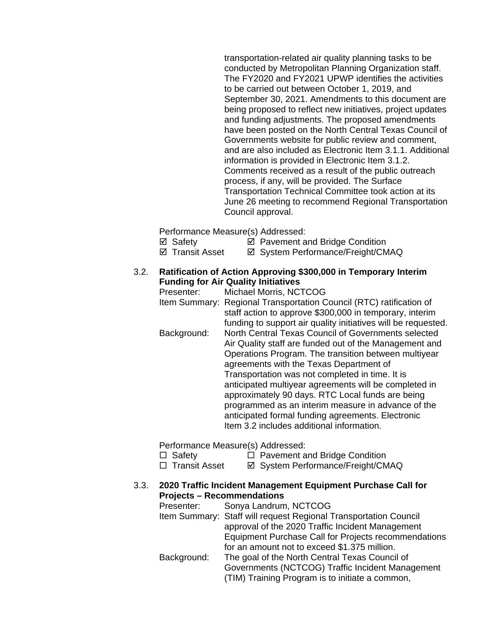transportation-related air quality planning tasks to be conducted by Metropolitan Planning Organization staff. The FY2020 and FY2021 UPWP identifies the activities to be carried out between October 1, 2019, and September 30, 2021. Amendments to this document are being proposed to reflect new initiatives, project updates and funding adjustments. The proposed amendments have been posted on the North Central Texas Council of Governments website for public review and comment, and are also included as Electronic Item 3.1.1. Additional information is provided in Electronic Item 3.1.2. Comments received as a result of the public outreach process, if any, will be provided. The Surface Transportation Technical Committee took action at its June 26 meeting to recommend Regional Transportation Council approval.

Performance Measure(s) Addressed:

 $\boxtimes$  Safety  $\boxtimes$  Pavement and Bridge Condition

⊠ Transit Asset **II System Performance/Freight/CMAQ** 

## 3.2. **Ratification of Action Approving \$300,000 in Temporary Interim Funding for Air Quality Initiatives**

Presenter: Michael Morris, NCTCOG Item Summary: Regional Transportation Council (RTC) ratification of staff action to approve \$300,000 in temporary, interim funding to support air quality initiatives will be requested. Background: North Central Texas Council of Governments selected Air Quality staff are funded out of the Management and Operations Program. The transition between multiyear agreements with the Texas Department of Transportation was not completed in time. It is anticipated multiyear agreements will be completed in approximately 90 days. RTC Local funds are being programmed as an interim measure in advance of the anticipated formal funding agreements. Electronic Item 3.2 includes additional information.

Performance Measure(s) Addressed:

 $\Box$  Safety  $\Box$  Pavement and Bridge Condition

- □ Transit Asset <br>  $\Box$  Transit Asset <br>  $\Box$  System Performance/Freight/CMAQ
- 3.3. **2020 Traffic Incident Management Equipment Purchase Call for Projects – Recommendations**

| Presenter:  | Sonya Landrum, NCTCOG                                            |
|-------------|------------------------------------------------------------------|
|             | Item Summary: Staff will request Regional Transportation Council |
|             | approval of the 2020 Traffic Incident Management                 |
|             | Equipment Purchase Call for Projects recommendations             |
|             | for an amount not to exceed \$1.375 million.                     |
| Background: | The goal of the North Central Texas Council of                   |
|             | Governments (NCTCOG) Traffic Incident Management                 |
|             | (TIM) Training Program is to initiate a common,                  |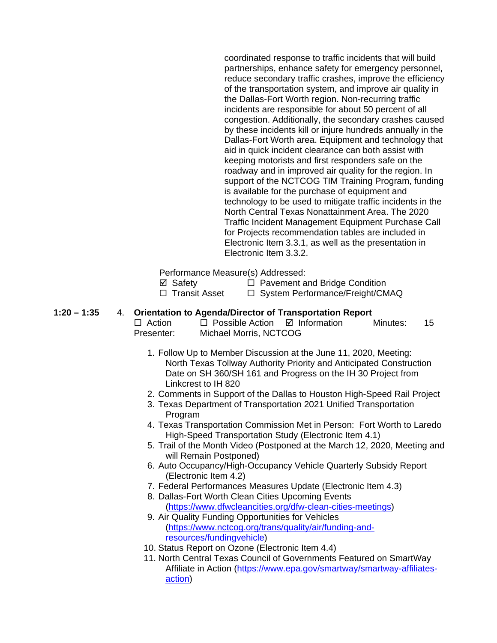coordinated response to traffic incidents that will build partnerships, enhance safety for emergency personnel, reduce secondary traffic crashes, improve the efficiency of the transportation system, and improve air quality in the Dallas-Fort Worth region. Non-recurring traffic incidents are responsible for about 50 percent of all congestion. Additionally, the secondary crashes caused by these incidents kill or injure hundreds annually in the Dallas-Fort Worth area. Equipment and technology that aid in quick incident clearance can both assist with keeping motorists and first responders safe on the roadway and in improved air quality for the region. In support of the NCTCOG TIM Training Program, funding is available for the purchase of equipment and technology to be used to mitigate traffic incidents in the North Central Texas Nonattainment Area. The 2020 Traffic Incident Management Equipment Purchase Call for Projects recommendation tables are included in Electronic Item 3.3.1, as well as the presentation in Electronic Item 3.3.2.

Performance Measure(s) Addressed:

 $\Box$  **Safety**  $\Box$  Pavement and Bridge Condition <br>  $\Box$  Transit Asset  $\Box$  System Performance/Freight/CM

□ System Performance/Freight/CMAQ

## **1:20 – 1:35** 4. **Orientation to Agenda/Director of Transportation Report**

 $\Box$  Action  $\Box$  Possible Action  $\Box$  Information Minutes: 15 Presenter: Michael Morris, NCTCOG

- 1. Follow Up to Member Discussion at the June 11, 2020, Meeting: North Texas Tollway Authority Priority and Anticipated Construction Date on SH 360/SH 161 and Progress on the IH 30 Project from Linkcrest to IH 820
- 2. Comments in Support of the Dallas to Houston High-Speed Rail Project
- 3. Texas Department of Transportation 2021 Unified Transportation Program
- 4. Texas Transportation Commission Met in Person: Fort Worth to Laredo High-Speed Transportation Study (Electronic Item 4.1)
- 5. Trail of the Month Video (Postponed at the March 12, 2020, Meeting and will Remain Postponed)
- 6. Auto Occupancy/High-Occupancy Vehicle Quarterly Subsidy Report (Electronic Item 4.2)
- 7. Federal Performances Measures Update (Electronic Item 4.3)
- 8. Dallas-Fort Worth Clean Cities Upcoming Events [\(https://www.dfwcleancities.org/dfw-clean-cities-meetings\)](https://www.dfwcleancities.org/dfw-clean-cities-meetings)
- 9. Air Quality Funding Opportunities for Vehicles [\(https://www.nctcog.org/trans/quality/air/funding-and](https://www.nctcog.org/trans/quality/air/funding-and-resources/fundingvehicle)[resources/fundingvehicle\)](https://www.nctcog.org/trans/quality/air/funding-and-resources/fundingvehicle)
- 10. Status Report on Ozone (Electronic Item 4.4)
- 11. North Central Texas Council of Governments Featured on SmartWay Affiliate in Action [\(https://www.epa.gov/smartway/smartway-affiliates](https://www.epa.gov/smartway/smartway-affiliates-action)[action\)](https://www.epa.gov/smartway/smartway-affiliates-action)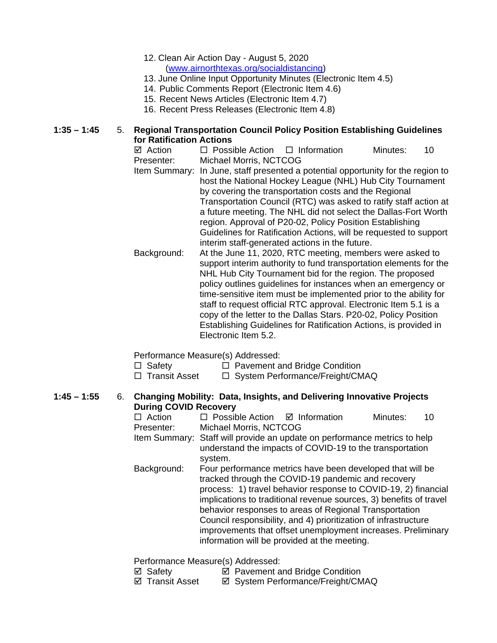- 12. Clean Air Action Day August 5, 2020 [\(www.airnorthtexas.org/socialdistancing\)](https://gcc01.safelinks.protection.outlook.com/?url=http%3A%2F%2Fwww.airnorthtexas.org%2Fsocialdistancing&data=02%7C01%7CALeger%40nctcog.org%7Cc301ee8b6d96498f4f5b08d81c74e360%7C2f5e7ebc22b04fbe934caabddb4e29b1%7C0%7C0%7C637290635651183111&sdata=gHOXi5S6rb%2BjVuT9LQraogsbhv2gSJqRjmOYnR%2BUM20%3D&reserved=0)
- 13. June Online Input Opportunity Minutes (Electronic Item 4.5)
- 14. Public Comments Report (Electronic Item 4.6)
- 15. Recent News Articles (Electronic Item 4.7)
- 16. Recent Press Releases (Electronic Item 4.8)

#### **1:35 – 1:45** 5. **Regional Transportation Council Policy Position Establishing Guidelines for Ratification Actions**

- $\boxtimes$  Action  $\Box$  Possible Action  $\Box$  Information Minutes: 10 Presenter: Michael Morris, NCTCOG Item Summary: In June, staff presented a potential opportunity for the region to host the National Hockey League (NHL) Hub City Tournament by covering the transportation costs and the Regional Transportation Council (RTC) was asked to ratify staff action at a future meeting. The NHL did not select the Dallas-Fort Worth region. Approval of P20-02, Policy Position Establishing Guidelines for Ratification Actions, will be requested to support interim staff-generated actions in the future. Background: At the June 11, 2020, RTC meeting, members were asked to
	- support interim authority to fund transportation elements for the NHL Hub City Tournament bid for the region. The proposed policy outlines guidelines for instances when an emergency or time-sensitive item must be implemented prior to the ability for staff to request official RTC approval. Electronic Item 5.1 is a copy of the letter to the Dallas Stars. P20-02, Policy Position Establishing Guidelines for Ratification Actions, is provided in Electronic Item 5.2.

Performance Measure(s) Addressed:

- $\Box$  Safety  $\Box$  Pavement and Bridge Condition
- $\Box$  Transit Asset  $\Box$  System Performance/Freight/CMAQ
- **1:45 – 1:55** 6. **Changing Mobility: Data, Insights, and Delivering Innovative Projects During COVID Recovery**<br>
□ Action □ Possik
	- $\Box$  Possible Action  $\Box$  Information Minutes: 10 Presenter: Michael Morris, NCTCOG
	- Item Summary: Staff will provide an update on performance metrics to help understand the impacts of COVID-19 to the transportation system.
	- Background: Four performance metrics have been developed that will be tracked through the COVID-19 pandemic and recovery process: 1) travel behavior response to COVID-19, 2) financial implications to traditional revenue sources, 3) benefits of travel behavior responses to areas of Regional Transportation Council responsibility, and 4) prioritization of infrastructure improvements that offset unemployment increases. Preliminary information will be provided at the meeting.

Performance Measure(s) Addressed:

- $\boxtimes$  Pavement and Bridge Condition
- ⊠ Transit Asset <br> **EX System Performance/Freight/CMAQ**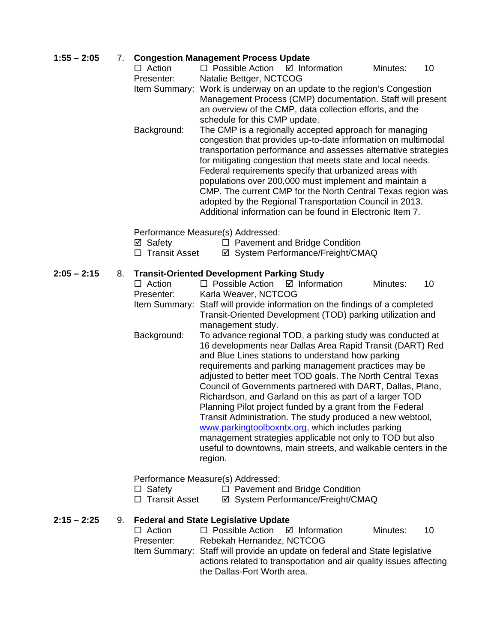# **1:55 – 2:05** 7. **Congestion Management Process Update**

- $\Box$  Possible Action  $\Box$  Information Minutes: 10 Presenter: Natalie Bettger, NCTCOG Item Summary: Work is underway on an update to the region's Congestion Management Process (CMP) documentation. Staff will present an overview of the CMP, data collection efforts, and the schedule for this CMP update. Background: The CMP is a regionally accepted approach for managing congestion that provides up-to-date information on multimodal
	- transportation performance and assesses alternative strategies for mitigating congestion that meets state and local needs. Federal requirements specify that urbanized areas with populations over 200,000 must implement and maintain a CMP. The current CMP for the North Central Texas region was adopted by the Regional Transportation Council in 2013. Additional information can be found in Electronic Item 7.

Performance Measure(s) Addressed:

- $\boxtimes$  Safety  $\Box$  Pavement and Bridge Condition
- □ Transit Asset <br>  $\Box$  Transit Asset <br>  $\Box$  System Performance/Freight/CMAQ

# **2:05 – 2:15** 8. **Transit-Oriented Development Parking Study**

 $\Box$  Action  $\Box$  Possible Action  $\Box$  Information Minutes: 10 Presenter: Karla Weaver, NCTCOG Item Summary: Staff will provide information on the findings of a completed Transit-Oriented Development (TOD) parking utilization and management study. Background: To advance regional TOD, a parking study was conducted at 16 developments near Dallas Area Rapid Transit (DART) Red and Blue Lines stations to understand how parking requirements and parking management practices may be adjusted to better meet TOD goals. The North Central Texas Council of Governments partnered with DART, Dallas, Plano, Richardson, and Garland on this as part of a larger TOD Planning Pilot project funded by a grant from the Federal Transit Administration. The study produced a new webtool, [www.parkingtoolboxntx.org,](http://www.parkingtoolboxntx.org/) which includes parking management strategies applicable not only to TOD but also useful to downtowns, main streets, and walkable centers in the region.

Performance Measure(s) Addressed:

- $\Box$  Safety  $\Box$  Pavement and Bridge Condition
- □ Transit Asset  $\Box$  System Performance/Freight/CMAQ

## **2:15 – 2:25** 9. **Federal and State Legislative Update**

 $\Box$  Action  $\Box$  Possible Action  $\Box$  Information Minutes: 10 Presenter: Rebekah Hernandez, NCTCOG Item Summary: Staff will provide an update on federal and State legislative actions related to transportation and air quality issues affecting the Dallas-Fort Worth area.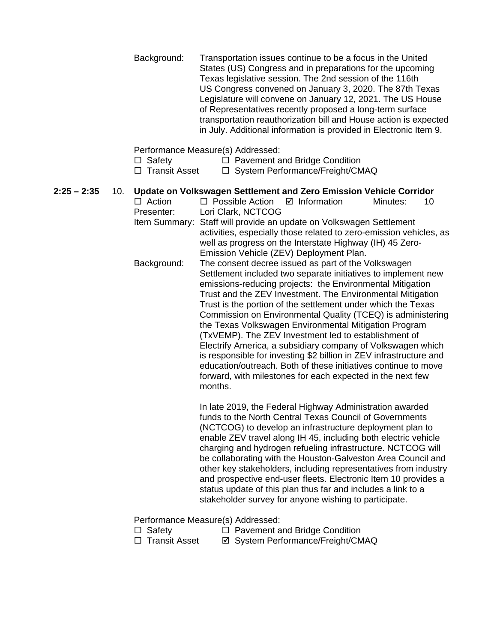Background: Transportation issues continue to be a focus in the United States (US) Congress and in preparations for the upcoming Texas legislative session. The 2nd session of the 116th US Congress convened on January 3, 2020. The 87th Texas Legislature will convene on January 12, 2021. The US House of Representatives recently proposed a long-term surface transportation reauthorization bill and House action is expected in July. Additional information is provided in Electronic Item 9.

Performance Measure(s) Addressed:

- $\Box$  Safety  $\Box$  Pavement and Bridge Condition
- $\Box$  Transit Asset  $\Box$  System Performance/Freight/CMAQ
- **2:25 – 2:35** 10. **Update on Volkswagen Settlement and Zero Emission Vehicle Corridor**  $\Box$  Action  $\Box$  Possible Action  $\Box$  Information Minutes: 10 Presenter: Lori Clark, NCTCOG Item Summary: Staff will provide an update on Volkswagen Settlement activities, especially those related to zero-emission vehicles, as well as progress on the Interstate Highway (IH) 45 Zero-Emission Vehicle (ZEV) Deployment Plan. Background: The consent decree issued as part of the Volkswagen Settlement included two separate initiatives to implement new emissions-reducing projects: the Environmental Mitigation Trust and the ZEV Investment. The Environmental Mitigation Trust is the portion of the settlement under which the Texas Commission on Environmental Quality (TCEQ) is administering the Texas Volkswagen Environmental Mitigation Program (TxVEMP). The ZEV Investment led to establishment of Electrify America, a subsidiary company of Volkswagen which is responsible for investing \$2 billion in ZEV infrastructure and education/outreach. Both of these initiatives continue to move forward, with milestones for each expected in the next few months. In late 2019, the Federal Highway Administration awarded

funds to the North Central Texas Council of Governments (NCTCOG) to develop an infrastructure deployment plan to enable ZEV travel along IH 45, including both electric vehicle charging and hydrogen refueling infrastructure. NCTCOG will be collaborating with the Houston-Galveston Area Council and other key stakeholders, including representatives from industry and prospective end-user fleets. Electronic Item 10 provides a status update of this plan thus far and includes a link to a stakeholder survey for anyone wishing to participate.

Performance Measure(s) Addressed:

- $\Box$  Safety  $\Box$  Pavement and Bridge Condition
- □ Transit Asset <br>  $\Box$  Transit Asset <br>  $\Box$  System Performance/Freight/CMAQ